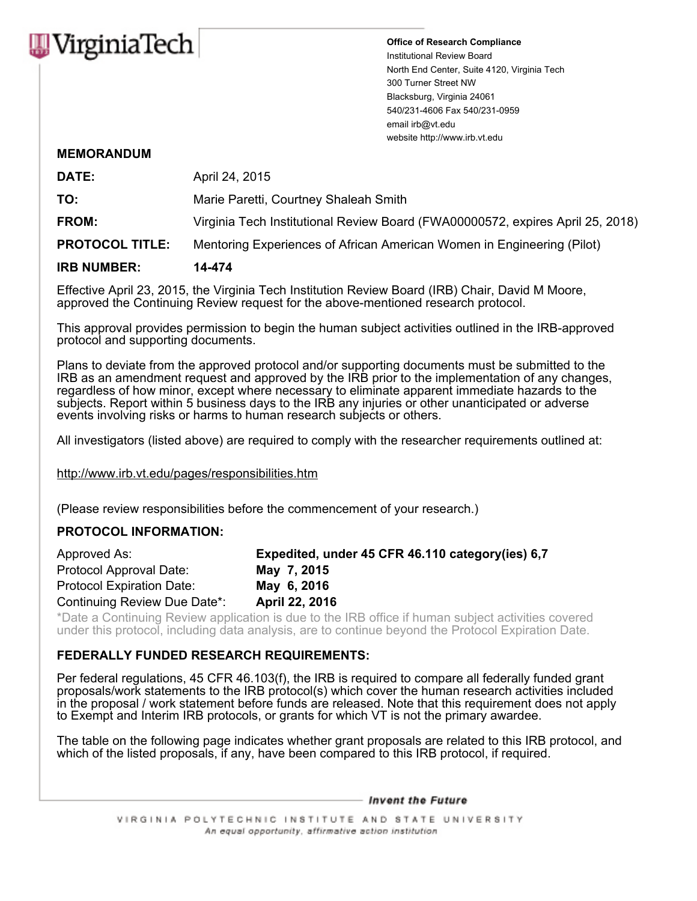

**Office of Research Compliance** Institutional Review Board North End Center, Suite 4120, Virginia Tech 300 Turner Street NW Blacksburg, Virginia 24061 540/231-4606 Fax 540/231-0959 email irb@vt.edu website http://www.irb.vt.edu

## **MEMORANDUM**

| <b>IRB NUMBER:</b>     | 14-474                                                                         |
|------------------------|--------------------------------------------------------------------------------|
| <b>PROTOCOL TITLE:</b> | Mentoring Experiences of African American Women in Engineering (Pilot)         |
| <b>FROM:</b>           | Virginia Tech Institutional Review Board (FWA00000572, expires April 25, 2018) |
| TO:                    | Marie Paretti, Courtney Shaleah Smith                                          |
| DATE:                  | April 24, 2015                                                                 |

Effective April 23, 2015, the Virginia Tech Institution Review Board (IRB) Chair, David M Moore, approved the Continuing Review request for the above-mentioned research protocol.

This approval provides permission to begin the human subject activities outlined in the IRB-approved protocol and supporting documents.

Plans to deviate from the approved protocol and/or supporting documents must be submitted to the IRB as an amendment request and approved by the IRB prior to the implementation of any changes, regardless of how minor, except where necessary to eliminate apparent immediate hazards to the subjects. Report within 5 business days to the IRB any injuries or other unanticipated or adverse events involving risks or harms to human research subjects or others.

All investigators (listed above) are required to comply with the researcher requirements outlined at:

http://www.irb.vt.edu/pages/responsibilities.htm

(Please review responsibilities before the commencement of your research.)

## **PROTOCOL INFORMATION:**

| Approved As:                 | Expedited, under 45 CFR 46.110 category (ies) 6,7 |
|------------------------------|---------------------------------------------------|
| Protocol Approval Date:      | May 7, 2015                                       |
| Protocol Expiration Date:    | May 6, 2016                                       |
| Continuing Review Due Date*: | April 22, 2016                                    |

\*Date a Continuing Review application is due to the IRB office if human subject activities covered under this protocol, including data analysis, are to continue beyond the Protocol Expiration Date.

## **FEDERALLY FUNDED RESEARCH REQUIREMENTS:**

Per federal regulations, 45 CFR 46.103(f), the IRB is required to compare all federally funded grant proposals/work statements to the IRB protocol(s) which cover the human research activities included in the proposal / work statement before funds are released. Note that this requirement does not apply to Exempt and Interim IRB protocols, or grants for which VT is not the primary awardee.

The table on the following page indicates whether grant proposals are related to this IRB protocol, and which of the listed proposals, if any, have been compared to this IRB protocol, if required.

- Invent the Future